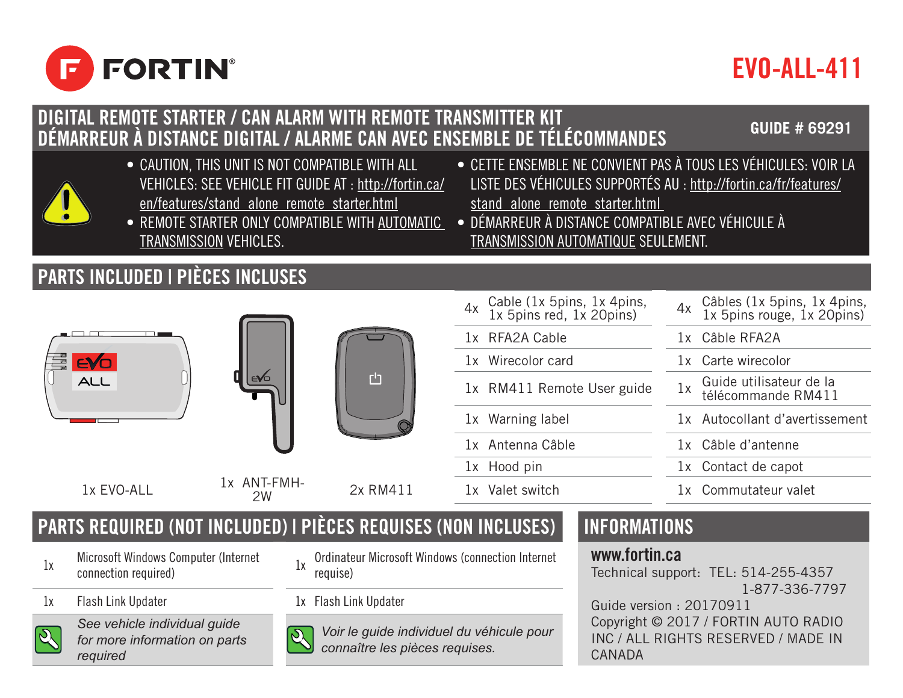

# EVO-ALL-411

#### DIGITAL REMOTE STARTER / CAN ALARM WITH REMOTE TRANSMITTER KIT DÉMARREUR À DISTANCE DIGITAL / ALARME CAN AVEC ENSEMBLE DE TÉLÉCOMMANDES **GUIDE # 69291**

- CAUTION, THIS UNIT IS NOT COMPATIBLE WITH ALL VEHICLES: SEE VEHICLE FIT GUIDE AT : http://fortin.ca/ en/features/stand\_alone\_remote\_starter.html
- REMOTE STARTER ONLY COMPATIBLE WITH AUTOMATIC TRANSMISSION VEHICLES.

## PARTS INCLUDED | PIÈCES INCLUSES







4x Cable (1x 5pins, 1x 4pins, 1x 5pins red, 1x 20pins) Cable (1x 5pins, 1x 4pins, 4x Câbles (1x 5pins, 1x 4pins, 1x 5pins)<br>1x 5pins red, 1x 20pins) 4x 1x 5pins rouge, 1x 20pins) 1x RFA2A Cable 1x Câble RFA2A 1x Wirecolor card 1x Carte wirecolor 1x RM411 Remote User guide 1x Guide utilisateur de la télécommande RM411 1x Warning label 1x Autocollant d'avertissement 1x Antenna Câble 1x Câble d'antenne 1x Hood pin 1x Contact de capot 2W 2x RM411 1x Valet switch 1x Commutateur valet

• CETTE ENSEMBLE NE CONVIENT PAS À TOUS LES VÉHICULES: VOIR LA LISTE DES VÉHICULES SUPPORTÉS AU : http://fortin.ca/fr/features/

• DÉMARREUR À DISTANCE COMPATIBLE AVEC VÉHICULE À TRANSMISSION AUTOMATIQUE SEULEMENT.

stand\_alone\_remote\_starter.html

## PARTS REQUIRED (NOT INCLUDED) | PIÈCES REQUISES (NON INCLUSES) | INFORMATIONS

- 1x Microsoft Windows Computer (Internet<br>connection required)
- 1x Flash Link Updater 1x Flash Link Updater



*See vehicle individual guide for more information on parts required*

- 1x Ordinateur Microsoft Windows (connection Internet requise)
- 
- *Voir le guide individuel du véhicule pour connaître les pièces requises.*

#### www.fortin.ca

Technical support: TEL: 514-255-4357 1-877-336-7797 Guide version : 20170911 Copyright © 2017 / FORTIN AUTO RADIO INC / ALL RIGHTS RESERVED / MADE IN CANADA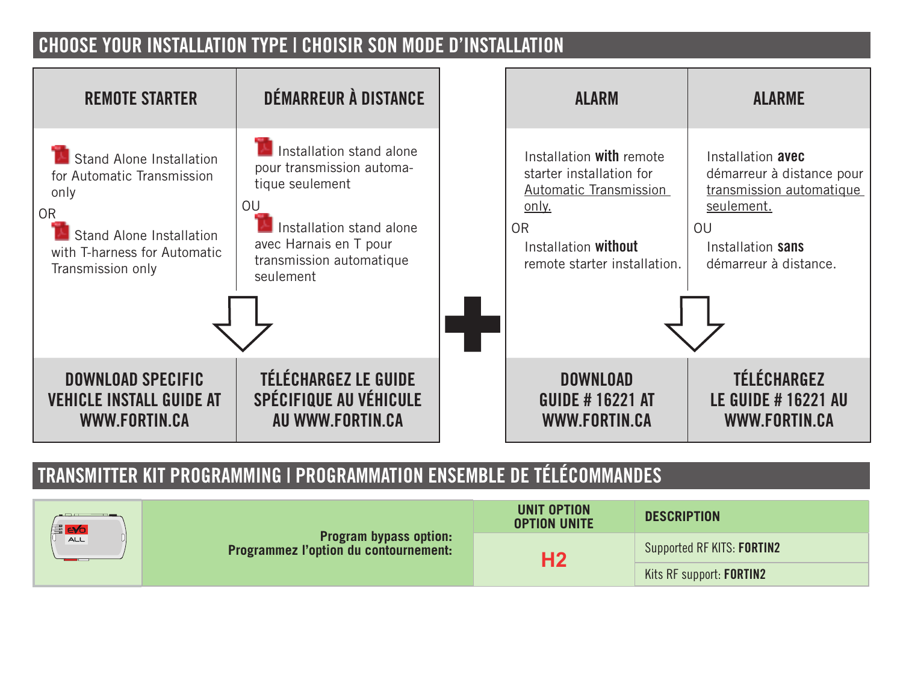### CHOOSE YOUR INSTALLATION TYPE | CHOISIR SON MODE D'INSTALLATION



## TRANSMITTER KIT PROGRAMMING | PROGRAMMATION ENSEMBLE DE TÉLÉCOMMANDES

| <b>E</b> evol<br>ALL. | <b>Program bypass option:</b><br><b>Programmez l'option du contournement:</b> | UNIT OPTION<br><b>OPTION UNITE</b> | <b>DESCRIPTION</b>         |
|-----------------------|-------------------------------------------------------------------------------|------------------------------------|----------------------------|
|                       |                                                                               | Н2                                 | Supported RF KITS: FORTIN2 |
|                       |                                                                               |                                    | Kits RF support: FORTIN2   |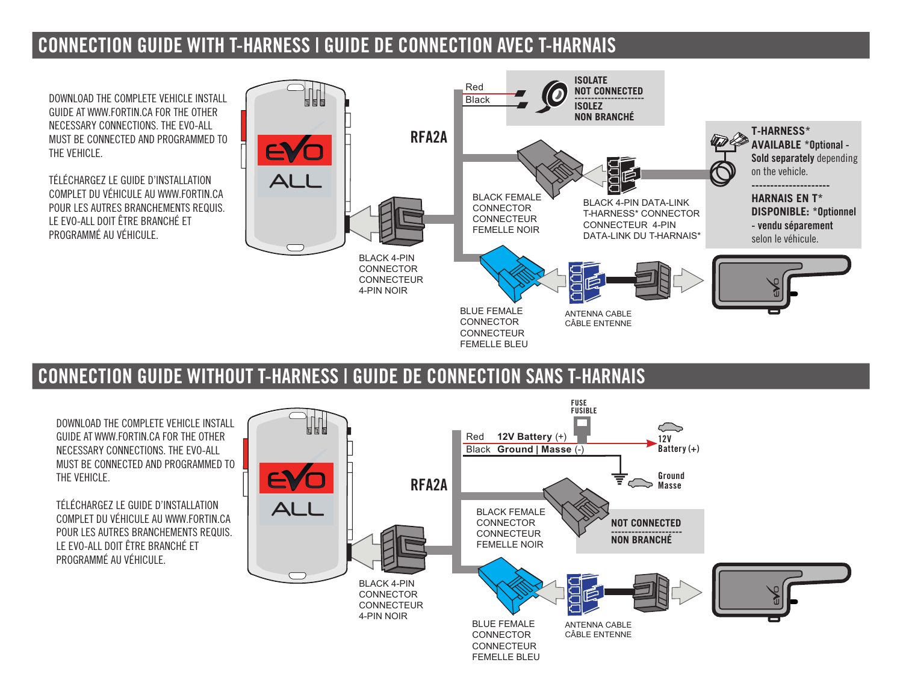#### CONNECTION GUIDE WITH T-HARNESS | GUIDE DE CONNECTION AVEC T-HARNAIS

DOWNLOAD THE COMPLETE VEHICLE INSTALL GUIDE AT WWW.FORTIN.CA FOR THE OTHER NECESSARY CONNECTIONS. THE EVO-ALL MUST BE CONNECTED AND PROGRAMMED TO THE VEHICLE.

TÉLÉCHARGEZ LE GUIDE D'INSTALLATION COMPLET DU VÉHICULE AU WWW.FORTIN.CA POUR LES AUTRES BRANCHEMENTS REQUIS. LE EVO-ALL DOIT ÊTRE BRANCHÉ ET PROGRAMMÉ AU VÉHICULE



## CONNECTION GUIDE WITHOUT T-HARNESS | GUIDE DE CONNECTION SANS T-HARNAIS